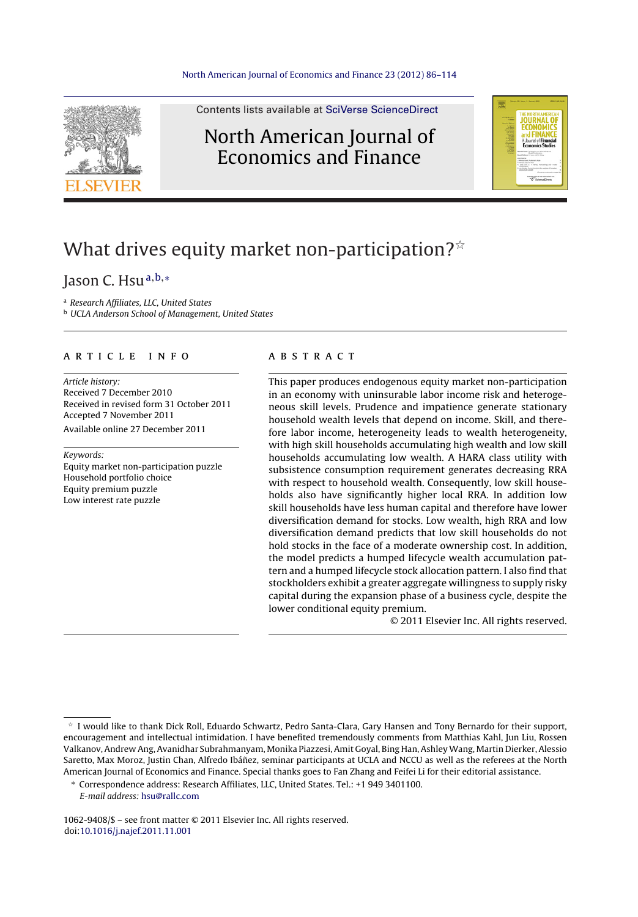

Contents lists available at SciVerse [ScienceDirect](http://www.sciencedirect.com/science/journal/10629408)

### North American Journal of Economics and Finance



## What drives equity market non-participation? $^{\star}$

### Jason C. Hsu $a,b,*$

<sup>a</sup> Research Affiliates, LLC, United States

**b UCLA Anderson School of Management, United States** 

#### a r t i c l e i n f o

Article history: Received 7 December 2010 Received in revised form 31 October 2011 Accepted 7 November 2011 Available online 27 December 2011

Keywords:

Equity market non-participation puzzle Household portfolio choice Equity premium puzzle Low interest rate puzzle

#### A B S T R A C T

This paper produces endogenous equity market non-participation in an economy with uninsurable labor income risk and heterogeneous skill levels. Prudence and impatience generate stationary household wealth levels that depend on income. Skill, and therefore labor income, heterogeneity leads to wealth heterogeneity, with high skill households accumulating high wealth and low skill households accumulating low wealth. A HARA class utility with subsistence consumption requirement generates decreasing RRA with respect to household wealth. Consequently, low skill households also have significantly higher local RRA. In addition low skill households have less human capital and therefore have lower diversification demand for stocks. Low wealth, high RRA and low diversification demand predicts that low skill households do not hold stocks in the face of a moderate ownership cost. In addition, the model predicts a humped lifecycle wealth accumulation pattern and a humped lifecycle stock allocation pattern. I also find that stockholders exhibit a greater aggregate willingness to supply risky capital during the expansion phase of a business cycle, despite the lower conditional equity premium.

© 2011 Elsevier Inc. All rights reserved.

1062-9408/\$ – see front matter © 2011 Elsevier Inc. All rights reserved. doi[:10.1016/j.najef.2011.11.001](dx.doi.org/10.1016/j.najef.2011.11.001)

<sup>-</sup> I would like to thank Dick Roll, Eduardo Schwartz, Pedro Santa-Clara, Gary Hansen and Tony Bernardo for their support, encouragement and intellectual intimidation. I have benefited tremendously comments from Matthias Kahl, Jun Liu, Rossen Valkanov, Andrew Ang, Avanidhar Subrahmanyam, Monika Piazzesi, Amit Goyal, Bing Han, AshleyWang, Martin Dierker, Alessio Saretto, Max Moroz, Justin Chan, Alfredo Ibáñez, seminar participants at UCLA and NCCU as well as the referees at the North American Journal of Economics and Finance. Special thanks goes to Fan Zhang and Feifei Li for their editorial assistance.

<sup>∗</sup> Correspondence address: Research Affiliates, LLC, United States. Tel.: +1 949 3401100.

E-mail address: [hsu@rallc.com](mailto:hsu@rallc.com)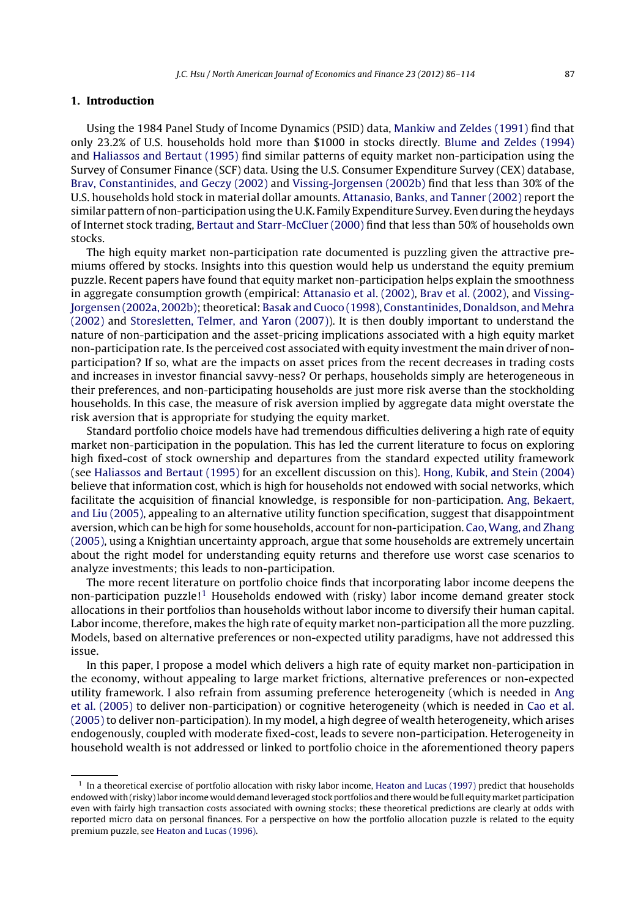#### **1. Introduction**

Using the 1984 Panel Study of Income Dynamics (PSID) data, [Mankiw](#page--1-0) [and](#page--1-0) [Zeldes](#page--1-0) [\(1991\)](#page--1-0) find that only 23.2% of U.S. households hold more than \$1000 in stocks directly. [Blume](#page--1-0) [and](#page--1-0) [Zeldes](#page--1-0) [\(1994\)](#page--1-0) and [Haliassos](#page--1-0) [and](#page--1-0) [Bertaut](#page--1-0) [\(1995\)](#page--1-0) find similar patterns of equity market non-participation using the Survey of Consumer Finance (SCF) data. Using the U.S. Consumer Expenditure Survey (CEX) database, [Brav,](#page--1-0) [Constantinides,](#page--1-0) [and](#page--1-0) [Geczy](#page--1-0) [\(2002\)](#page--1-0) and [Vissing-Jorgensen](#page--1-0) [\(2002b\)](#page--1-0) find that less than 30% of the U.S. households hold stock in material dollar amounts. [Attanasio,](#page--1-0) [Banks,](#page--1-0) [and](#page--1-0) [Tanner](#page--1-0) [\(2002\)](#page--1-0) report the similar pattern of non-participation using the U.K. Family Expenditure Survey. Even during the heydays of Internet stock trading, [Bertaut](#page--1-0) [and](#page--1-0) [Starr-McCluer](#page--1-0) [\(2000\)](#page--1-0) find that less than 50% of households own stocks.

The high equity market non-participation rate documented is puzzling given the attractive premiums offered by stocks. Insights into this question would help us understand the equity premium puzzle. Recent papers have found that equity market non-participation helps explain the smoothness in aggregate consumption growth (empirical: [Attanasio](#page--1-0) et [al.](#page--1-0) [\(2002\),](#page--1-0) [Brav](#page--1-0) et [al.](#page--1-0) [\(2002\),](#page--1-0) and [Vissing-](#page--1-0)Jorgensen [\(2002a,](#page--1-0) [2002b\);t](#page--1-0)heoretical: [Basak](#page--1-0) [and](#page--1-0) [Cuoco](#page--1-0) [\(1998\),](#page--1-0) [Constantinides,](#page--1-0) [Donaldson,](#page--1-0) [and](#page--1-0) [Mehra](#page--1-0) [\(2002\)](#page--1-0) and [Storesletten,](#page--1-0) [Telmer,](#page--1-0) [and](#page--1-0) [Yaron](#page--1-0) [\(2007\)\).](#page--1-0) It is then doubly important to understand the nature of non-participation and the asset-pricing implications associated with a high equity market non-participation rate. Is the perceived cost associated with equity investment the main driver of nonparticipation? If so, what are the impacts on asset prices from the recent decreases in trading costs and increases in investor financial savvy-ness? Or perhaps, households simply are heterogeneous in their preferences, and non-participating households are just more risk averse than the stockholding households. In this case, the measure of risk aversion implied by aggregate data might overstate the risk aversion that is appropriate for studying the equity market.

Standard portfolio choice models have had tremendous difficulties delivering a high rate of equity market non-participation in the population. This has led the current literature to focus on exploring high fixed-cost of stock ownership and departures from the standard expected utility framework (see [Haliassos](#page--1-0) [and](#page--1-0) [Bertaut](#page--1-0) [\(1995\)](#page--1-0) for an excellent discussion on this). [Hong,](#page--1-0) [Kubik,](#page--1-0) [and](#page--1-0) [Stein](#page--1-0) [\(2004\)](#page--1-0) believe that information cost, which is high for households not endowed with social networks, which facilitate the acquisition of financial knowledge, is responsible for non-participation. [Ang,](#page--1-0) [Bekaert,](#page--1-0) [and](#page--1-0) [Liu](#page--1-0) [\(2005\),](#page--1-0) appealing to an alternative utility function specification, suggest that disappointment aversion, which can be high for some households, accountfor non-participation. [Cao,Wang,](#page--1-0) [and](#page--1-0) [Zhang](#page--1-0) [\(2005\),](#page--1-0) using a Knightian uncertainty approach, argue that some households are extremely uncertain about the right model for understanding equity returns and therefore use worst case scenarios to analyze investments; this leads to non-participation.

The more recent literature on portfolio choice finds that incorporating labor income deepens the non-participation puzzle!<sup>1</sup> Households endowed with (risky) labor income demand greater stock allocations in their portfolios than households without labor income to diversify their human capital. Labor income, therefore, makes the high rate of equity market non-participation all the more puzzling. Models, based on alternative preferences or non-expected utility paradigms, have not addressed this issue.

In this paper, I propose a model which delivers a high rate of equity market non-participation in the economy, without appealing to large market frictions, alternative preferences or non-expected utility framework. I also refrain from assuming preference heterogeneity (which is needed in [Ang](#page--1-0) et [al.](#page--1-0) [\(2005\)](#page--1-0) to deliver non-participation) or cognitive heterogeneity (which is needed in [Cao](#page--1-0) et [al.](#page--1-0) [\(2005\)](#page--1-0) to deliver non-participation). In my model, a high degree of wealth heterogeneity, which arises endogenously, coupled with moderate fixed-cost, leads to severe non-participation. Heterogeneity in household wealth is not addressed or linked to portfolio choice in the aforementioned theory papers

 $<sup>1</sup>$  In a theoretical exercise of portfolio allocation with risky labor income, [Heaton](#page--1-0) [and](#page--1-0) [Lucas](#page--1-0) [\(1997\)](#page--1-0) predict that households</sup> endowed with(risky)labor income would demand leveraged stock portfolios and there would be full equitymarket participation even with fairly high transaction costs associated with owning stocks; these theoretical predictions are clearly at odds with reported micro data on personal finances. For a perspective on how the portfolio allocation puzzle is related to the equity premium puzzle, see [Heaton](#page--1-0) [and](#page--1-0) [Lucas](#page--1-0) [\(1996\).](#page--1-0)